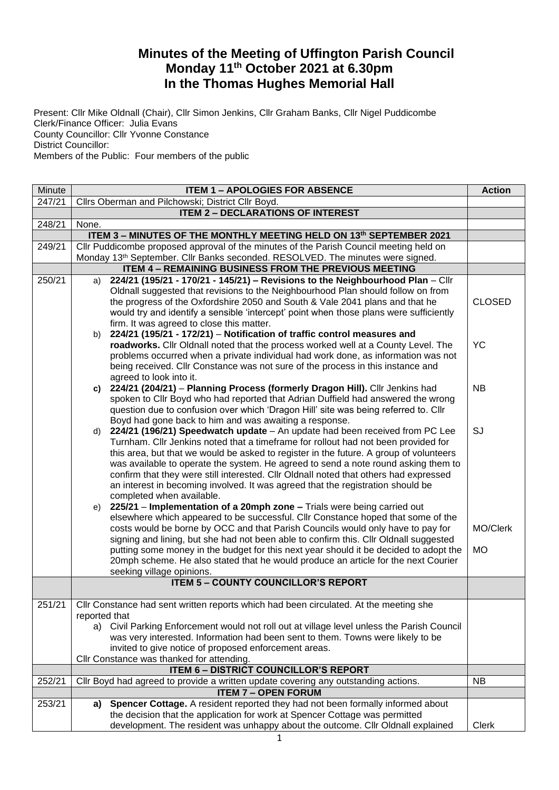## **Minutes of the Meeting of Uffington Parish Council Monday 11th October 2021 at 6.30pm In the Thomas Hughes Memorial Hall**

Present: Cllr Mike Oldnall (Chair), Cllr Simon Jenkins, Cllr Graham Banks, Cllr Nigel Puddicombe Clerk/Finance Officer: Julia Evans County Councillor: Cllr Yvonne Constance District Councillor: Members of the Public: Four members of the public

| Minute | <b>ITEM 1 - APOLOGIES FOR ABSENCE</b>                                                                                                                                          |               |  |  |
|--------|--------------------------------------------------------------------------------------------------------------------------------------------------------------------------------|---------------|--|--|
| 247/21 | Cllrs Oberman and Pilchowski; District Cllr Boyd.                                                                                                                              |               |  |  |
|        | <b>ITEM 2 - DECLARATIONS OF INTEREST</b>                                                                                                                                       |               |  |  |
| 248/21 | None.                                                                                                                                                                          |               |  |  |
|        | ITEM 3 - MINUTES OF THE MONTHLY MEETING HELD ON 13th SEPTEMBER 2021                                                                                                            |               |  |  |
| 249/21 | Cllr Puddicombe proposed approval of the minutes of the Parish Council meeting held on                                                                                         |               |  |  |
|        | Monday 13 <sup>th</sup> September. Cllr Banks seconded. RESOLVED. The minutes were signed.<br><b>ITEM 4 - REMAINING BUSINESS FROM THE PREVIOUS MEETING</b>                     |               |  |  |
| 250/21 | 224/21 (195/21 - 170/21 - 145/21) - Revisions to the Neighbourhood Plan - Cllr<br>a)                                                                                           |               |  |  |
|        | Oldnall suggested that revisions to the Neighbourhood Plan should follow on from                                                                                               |               |  |  |
|        | the progress of the Oxfordshire 2050 and South & Vale 2041 plans and that he                                                                                                   | <b>CLOSED</b> |  |  |
|        | would try and identify a sensible 'intercept' point when those plans were sufficiently                                                                                         |               |  |  |
|        | firm. It was agreed to close this matter.                                                                                                                                      |               |  |  |
|        | 224/21 (195/21 - 172/21) - Notification of traffic control measures and<br>b)                                                                                                  |               |  |  |
|        | roadworks. Cllr Oldnall noted that the process worked well at a County Level. The                                                                                              | <b>YC</b>     |  |  |
|        | problems occurred when a private individual had work done, as information was not                                                                                              |               |  |  |
|        | being received. Cllr Constance was not sure of the process in this instance and                                                                                                |               |  |  |
|        | agreed to look into it.                                                                                                                                                        |               |  |  |
|        | c) 224/21 (204/21) - Planning Process (formerly Dragon Hill). Cllr Jenkins had                                                                                                 | <b>NB</b>     |  |  |
|        | spoken to Cllr Boyd who had reported that Adrian Duffield had answered the wrong<br>question due to confusion over which 'Dragon Hill' site was being referred to. Cllr        |               |  |  |
|        | Boyd had gone back to him and was awaiting a response.                                                                                                                         |               |  |  |
|        | d) 224/21 (196/21) Speedwatch update - An update had been received from PC Lee                                                                                                 | SJ            |  |  |
|        | Turnham. Cllr Jenkins noted that a timeframe for rollout had not been provided for                                                                                             |               |  |  |
|        | this area, but that we would be asked to register in the future. A group of volunteers                                                                                         |               |  |  |
|        | was available to operate the system. He agreed to send a note round asking them to                                                                                             |               |  |  |
|        | confirm that they were still interested. Cllr Oldnall noted that others had expressed                                                                                          |               |  |  |
|        | an interest in becoming involved. It was agreed that the registration should be                                                                                                |               |  |  |
|        | completed when available.                                                                                                                                                      |               |  |  |
|        | e) 225/21 - Implementation of a 20mph zone - Trials were being carried out                                                                                                     |               |  |  |
|        | elsewhere which appeared to be successful. Cllr Constance hoped that some of the                                                                                               |               |  |  |
|        | costs would be borne by OCC and that Parish Councils would only have to pay for                                                                                                | MO/Clerk      |  |  |
|        | signing and lining, but she had not been able to confirm this. Cllr Oldnall suggested<br>putting some money in the budget for this next year should it be decided to adopt the | <b>MO</b>     |  |  |
|        | 20mph scheme. He also stated that he would produce an article for the next Courier                                                                                             |               |  |  |
|        | seeking village opinions.                                                                                                                                                      |               |  |  |
|        | <b>ITEM 5 - COUNTY COUNCILLOR'S REPORT</b>                                                                                                                                     |               |  |  |
|        |                                                                                                                                                                                |               |  |  |
| 251/21 | CIIr Constance had sent written reports which had been circulated. At the meeting she                                                                                          |               |  |  |
|        | reported that                                                                                                                                                                  |               |  |  |
|        | a) Civil Parking Enforcement would not roll out at village level unless the Parish Council                                                                                     |               |  |  |
|        | was very interested. Information had been sent to them. Towns were likely to be                                                                                                |               |  |  |
|        | invited to give notice of proposed enforcement areas.                                                                                                                          |               |  |  |
|        | Cllr Constance was thanked for attending.<br><b>ITEM 6 - DISTRICT COUNCILLOR'S REPORT</b>                                                                                      |               |  |  |
| 252/21 | Cllr Boyd had agreed to provide a written update covering any outstanding actions.                                                                                             | <b>NB</b>     |  |  |
|        | <b>ITEM 7 - OPEN FORUM</b>                                                                                                                                                     |               |  |  |
| 253/21 | a) Spencer Cottage. A resident reported they had not been formally informed about                                                                                              |               |  |  |
|        | the decision that the application for work at Spencer Cottage was permitted                                                                                                    |               |  |  |
|        | development. The resident was unhappy about the outcome. Cllr Oldnall explained                                                                                                | Clerk         |  |  |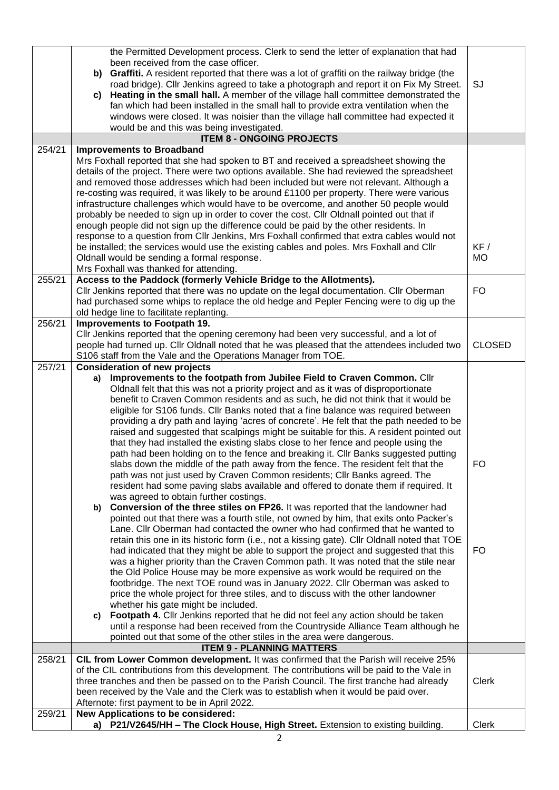|        | the Permitted Development process. Clerk to send the letter of explanation that had                                                                                                       |               |
|--------|-------------------------------------------------------------------------------------------------------------------------------------------------------------------------------------------|---------------|
|        | been received from the case officer.                                                                                                                                                      |               |
|        | Graffiti. A resident reported that there was a lot of graffiti on the railway bridge (the<br>b)<br>road bridge). Cllr Jenkins agreed to take a photograph and report it on Fix My Street. | <b>SJ</b>     |
|        | Heating in the small hall. A member of the village hall committee demonstrated the<br>C)                                                                                                  |               |
|        | fan which had been installed in the small hall to provide extra ventilation when the                                                                                                      |               |
|        | windows were closed. It was noisier than the village hall committee had expected it                                                                                                       |               |
|        | would be and this was being investigated.                                                                                                                                                 |               |
|        | <b>ITEM 8 - ONGOING PROJECTS</b>                                                                                                                                                          |               |
| 254/21 | <b>Improvements to Broadband</b><br>Mrs Foxhall reported that she had spoken to BT and received a spreadsheet showing the                                                                 |               |
|        | details of the project. There were two options available. She had reviewed the spreadsheet                                                                                                |               |
|        | and removed those addresses which had been included but were not relevant. Although a                                                                                                     |               |
|        | re-costing was required, it was likely to be around £1100 per property. There were various                                                                                                |               |
|        | infrastructure challenges which would have to be overcome, and another 50 people would                                                                                                    |               |
|        | probably be needed to sign up in order to cover the cost. Cllr Oldnall pointed out that if                                                                                                |               |
|        | enough people did not sign up the difference could be paid by the other residents. In<br>response to a question from Cllr Jenkins, Mrs Foxhall confirmed that extra cables would not      |               |
|        | be installed; the services would use the existing cables and poles. Mrs Foxhall and Cllr                                                                                                  | KF /          |
|        | Oldnall would be sending a formal response.                                                                                                                                               | <b>MO</b>     |
|        | Mrs Foxhall was thanked for attending.                                                                                                                                                    |               |
| 255/21 | Access to the Paddock (formerly Vehicle Bridge to the Allotments).                                                                                                                        |               |
|        | Cllr Jenkins reported that there was no update on the legal documentation. Cllr Oberman                                                                                                   | FO.           |
|        | had purchased some whips to replace the old hedge and Pepler Fencing were to dig up the<br>old hedge line to facilitate replanting.                                                       |               |
| 256/21 | Improvements to Footpath 19.                                                                                                                                                              |               |
|        | CIIr Jenkins reported that the opening ceremony had been very successful, and a lot of                                                                                                    |               |
|        | people had turned up. Cllr Oldnall noted that he was pleased that the attendees included two                                                                                              | <b>CLOSED</b> |
|        | S106 staff from the Vale and the Operations Manager from TOE.                                                                                                                             |               |
| 257/21 | <b>Consideration of new projects</b><br>Improvements to the footpath from Jubilee Field to Craven Common. Cllr                                                                            |               |
|        | a)<br>Oldnall felt that this was not a priority project and as it was of disproportionate                                                                                                 |               |
|        | benefit to Craven Common residents and as such, he did not think that it would be                                                                                                         |               |
|        | eligible for S106 funds. Cllr Banks noted that a fine balance was required between                                                                                                        |               |
|        | providing a dry path and laying 'acres of concrete'. He felt that the path needed to be                                                                                                   |               |
|        | raised and suggested that scalpings might be suitable for this. A resident pointed out                                                                                                    |               |
|        | that they had installed the existing slabs close to her fence and people using the<br>path had been holding on to the fence and breaking it. Cllr Banks suggested putting                 |               |
|        | slabs down the middle of the path away from the fence. The resident felt that the                                                                                                         | <b>FO</b>     |
|        | path was not just used by Craven Common residents; Cllr Banks agreed. The                                                                                                                 |               |
|        | resident had some paving slabs available and offered to donate them if required. It                                                                                                       |               |
|        | was agreed to obtain further costings.                                                                                                                                                    |               |
|        | b) Conversion of the three stiles on FP26. It was reported that the landowner had<br>pointed out that there was a fourth stile, not owned by him, that exits onto Packer's                |               |
|        | Lane. Cllr Oberman had contacted the owner who had confirmed that he wanted to                                                                                                            |               |
|        | retain this one in its historic form (i.e., not a kissing gate). Cllr Oldnall noted that TOE                                                                                              |               |
|        | had indicated that they might be able to support the project and suggested that this                                                                                                      | FO            |
|        | was a higher priority than the Craven Common path. It was noted that the stile near                                                                                                       |               |
|        | the Old Police House may be more expensive as work would be required on the<br>footbridge. The next TOE round was in January 2022. Cllr Oberman was asked to                              |               |
|        | price the whole project for three stiles, and to discuss with the other landowner                                                                                                         |               |
|        | whether his gate might be included.                                                                                                                                                       |               |
|        | Footpath 4. Cllr Jenkins reported that he did not feel any action should be taken<br>C)                                                                                                   |               |
|        | until a response had been received from the Countryside Alliance Team although he                                                                                                         |               |
|        | pointed out that some of the other stiles in the area were dangerous.<br><b>ITEM 9 - PLANNING MATTERS</b>                                                                                 |               |
| 258/21 | CIL from Lower Common development. It was confirmed that the Parish will receive 25%                                                                                                      |               |
|        | of the CIL contributions from this development. The contributions will be paid to the Vale in                                                                                             |               |
|        | three tranches and then be passed on to the Parish Council. The first tranche had already                                                                                                 | <b>Clerk</b>  |
|        | been received by the Vale and the Clerk was to establish when it would be paid over.                                                                                                      |               |
|        | Afternote: first payment to be in April 2022.                                                                                                                                             |               |
| 259/21 | New Applications to be considered:<br>a) P21/V2645/HH - The Clock House, High Street. Extension to existing building.                                                                     | Clerk         |
|        |                                                                                                                                                                                           |               |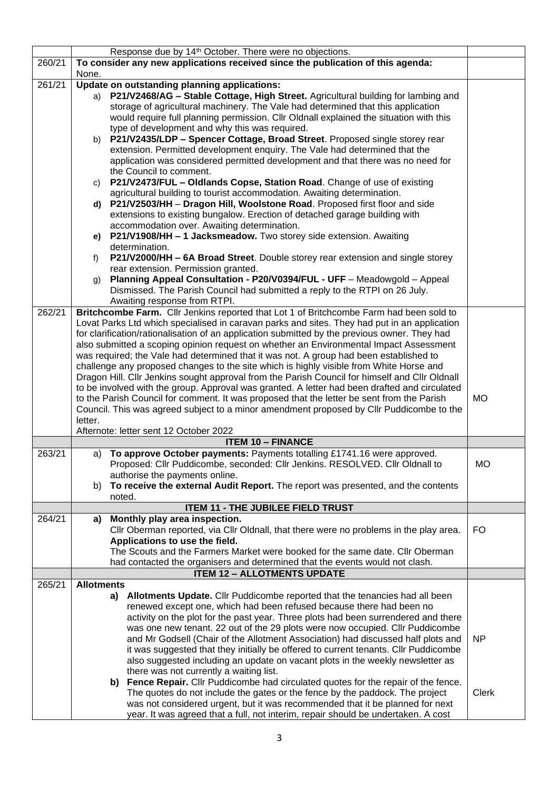| 260/21 | Response due by 14 <sup>th</sup> October. There were no objections.<br>To consider any new applications received since the publication of this agenda:                                                                                            |              |
|--------|---------------------------------------------------------------------------------------------------------------------------------------------------------------------------------------------------------------------------------------------------|--------------|
|        | None.                                                                                                                                                                                                                                             |              |
| 261/21 | Update on outstanding planning applications:<br>P21/V2468/AG - Stable Cottage, High Street. Agricultural building for lambing and<br>a)                                                                                                           |              |
|        | storage of agricultural machinery. The Vale had determined that this application<br>would require full planning permission. Cllr Oldnall explained the situation with this<br>type of development and why this was required.                      |              |
|        | P21/V2435/LDP - Spencer Cottage, Broad Street. Proposed single storey rear<br>b)<br>extension. Permitted development enquiry. The Vale had determined that the<br>application was considered permitted development and that there was no need for |              |
|        | the Council to comment.<br>P21/V2473/FUL - Oldlands Copse, Station Road. Change of use of existing<br>C)<br>agricultural building to tourist accommodation. Awaiting determination.                                                               |              |
|        | P21/V2503/HH - Dragon Hill, Woolstone Road. Proposed first floor and side<br>d)<br>extensions to existing bungalow. Erection of detached garage building with<br>accommodation over. Awaiting determination.                                      |              |
|        | P21/V1908/HH - 1 Jacksmeadow. Two storey side extension. Awaiting<br>e)<br>determination.                                                                                                                                                         |              |
|        | P21/V2000/HH - 6A Broad Street. Double storey rear extension and single storey<br>f)<br>rear extension. Permission granted.                                                                                                                       |              |
|        | Planning Appeal Consultation - P20/V0394/FUL - UFF - Meadowgold - Appeal<br>g)<br>Dismissed. The Parish Council had submitted a reply to the RTPI on 26 July.<br>Awaiting response from RTPI.                                                     |              |
| 262/21 | Britchcombe Farm. Cllr Jenkins reported that Lot 1 of Britchcombe Farm had been sold to                                                                                                                                                           |              |
|        | Lovat Parks Ltd which specialised in caravan parks and sites. They had put in an application<br>for clarification/rationalisation of an application submitted by the previous owner. They had                                                     |              |
|        | also submitted a scoping opinion request on whether an Environmental Impact Assessment                                                                                                                                                            |              |
|        | was required; the Vale had determined that it was not. A group had been established to                                                                                                                                                            |              |
|        | challenge any proposed changes to the site which is highly visible from White Horse and                                                                                                                                                           |              |
|        | Dragon Hill. Cllr Jenkins sought approval from the Parish Council for himself and Cllr Oldnall<br>to be involved with the group. Approval was granted. A letter had been drafted and circulated                                                   |              |
|        | to the Parish Council for comment. It was proposed that the letter be sent from the Parish                                                                                                                                                        | <b>MO</b>    |
|        | Council. This was agreed subject to a minor amendment proposed by Cllr Puddicombe to the                                                                                                                                                          |              |
|        | letter.                                                                                                                                                                                                                                           |              |
|        | Afternote: letter sent 12 October 2022                                                                                                                                                                                                            |              |
|        | <b>ITEM 10 - FINANCE</b>                                                                                                                                                                                                                          |              |
| 263/21 | a) To approve October payments: Payments totalling £1741.16 were approved.<br>Proposed: Cllr Puddicombe, seconded: Cllr Jenkins. RESOLVED. Cllr Oldnall to<br>authorise the payments online.                                                      | MO           |
|        | To receive the external Audit Report. The report was presented, and the contents<br>b)<br>noted.                                                                                                                                                  |              |
|        | <b>ITEM 11 - THE JUBILEE FIELD TRUST</b>                                                                                                                                                                                                          |              |
| 264/21 | Monthly play area inspection.<br>a)<br>Cllr Oberman reported, via Cllr Oldnall, that there were no problems in the play area.                                                                                                                     | <b>FO</b>    |
|        | Applications to use the field.                                                                                                                                                                                                                    |              |
|        | The Scouts and the Farmers Market were booked for the same date. Cllr Oberman                                                                                                                                                                     |              |
|        | had contacted the organisers and determined that the events would not clash.                                                                                                                                                                      |              |
|        | <b>ITEM 12 - ALLOTMENTS UPDATE</b>                                                                                                                                                                                                                |              |
| 265/21 | <b>Allotments</b>                                                                                                                                                                                                                                 |              |
|        | Allotments Update. Cllr Puddicombe reported that the tenancies had all been<br>a)<br>renewed except one, which had been refused because there had been no                                                                                         |              |
|        | activity on the plot for the past year. Three plots had been surrendered and there                                                                                                                                                                |              |
|        | was one new tenant. 22 out of the 29 plots were now occupied. Cllr Puddicombe                                                                                                                                                                     |              |
|        | and Mr Godsell (Chair of the Allotment Association) had discussed half plots and                                                                                                                                                                  | <b>NP</b>    |
|        | it was suggested that they initially be offered to current tenants. Cllr Puddicombe<br>also suggested including an update on vacant plots in the weekly newsletter as                                                                             |              |
|        | there was not currently a waiting list.                                                                                                                                                                                                           |              |
|        | b) Fence Repair. Cllr Puddicombe had circulated quotes for the repair of the fence.                                                                                                                                                               |              |
|        | The quotes do not include the gates or the fence by the paddock. The project                                                                                                                                                                      | <b>Clerk</b> |
|        | was not considered urgent, but it was recommended that it be planned for next                                                                                                                                                                     |              |
|        | year. It was agreed that a full, not interim, repair should be undertaken. A cost                                                                                                                                                                 |              |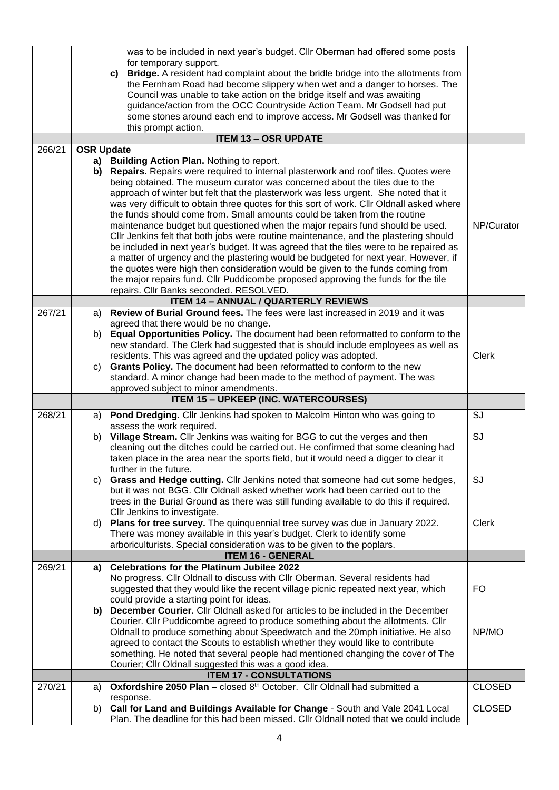|        |                   | was to be included in next year's budget. Cllr Oberman had offered some posts<br>for temporary support.                                                                        |               |
|--------|-------------------|--------------------------------------------------------------------------------------------------------------------------------------------------------------------------------|---------------|
|        |                   | <b>Bridge.</b> A resident had complaint about the bridle bridge into the allotments from<br>C)                                                                                 |               |
|        |                   | the Fernham Road had become slippery when wet and a danger to horses. The                                                                                                      |               |
|        |                   | Council was unable to take action on the bridge itself and was awaiting<br>guidance/action from the OCC Countryside Action Team. Mr Godsell had put                            |               |
|        |                   | some stones around each end to improve access. Mr Godsell was thanked for                                                                                                      |               |
|        |                   | this prompt action.                                                                                                                                                            |               |
|        |                   | <b>ITEM 13 - OSR UPDATE</b>                                                                                                                                                    |               |
| 266/21 | <b>OSR Update</b> |                                                                                                                                                                                |               |
|        |                   | a) Building Action Plan. Nothing to report.<br>b) Repairs. Repairs were required to internal plasterwork and roof tiles. Quotes were                                           |               |
|        |                   | being obtained. The museum curator was concerned about the tiles due to the                                                                                                    |               |
|        |                   | approach of winter but felt that the plasterwork was less urgent. She noted that it                                                                                            |               |
|        |                   | was very difficult to obtain three quotes for this sort of work. Cllr Oldnall asked where                                                                                      |               |
|        |                   | the funds should come from. Small amounts could be taken from the routine                                                                                                      |               |
|        |                   | maintenance budget but questioned when the major repairs fund should be used.                                                                                                  | NP/Curator    |
|        |                   | Cllr Jenkins felt that both jobs were routine maintenance, and the plastering should<br>be included in next year's budget. It was agreed that the tiles were to be repaired as |               |
|        |                   | a matter of urgency and the plastering would be budgeted for next year. However, if                                                                                            |               |
|        |                   | the quotes were high then consideration would be given to the funds coming from                                                                                                |               |
|        |                   | the major repairs fund. Cllr Puddicombe proposed approving the funds for the tile                                                                                              |               |
|        |                   | repairs. Cllr Banks seconded. RESOLVED.                                                                                                                                        |               |
| 267/21 | a)                | <b>ITEM 14 - ANNUAL / QUARTERLY REVIEWS</b><br>Review of Burial Ground fees. The fees were last increased in 2019 and it was                                                   |               |
|        |                   | agreed that there would be no change.                                                                                                                                          |               |
|        | b)                | Equal Opportunities Policy. The document had been reformatted to conform to the                                                                                                |               |
|        |                   | new standard. The Clerk had suggested that is should include employees as well as                                                                                              |               |
|        |                   | residents. This was agreed and the updated policy was adopted.                                                                                                                 | <b>Clerk</b>  |
|        | C)                | Grants Policy. The document had been reformatted to conform to the new<br>standard. A minor change had been made to the method of payment. The was                             |               |
|        |                   | approved subject to minor amendments.                                                                                                                                          |               |
|        |                   | <b>ITEM 15 - UPKEEP (INC. WATERCOURSES)</b>                                                                                                                                    |               |
| 268/21 | a)                | Pond Dredging. Cllr Jenkins had spoken to Malcolm Hinton who was going to                                                                                                      | SJ            |
|        |                   | assess the work required.                                                                                                                                                      |               |
|        |                   | b) Village Stream. Cllr Jenkins was waiting for BGG to cut the verges and then<br>cleaning out the ditches could be carried out. He confirmed that some cleaning had           | SJ            |
|        |                   | taken place in the area near the sports field, but it would need a digger to clear it                                                                                          |               |
|        |                   | further in the future.                                                                                                                                                         |               |
|        | C)                | Grass and Hedge cutting. Cllr Jenkins noted that someone had cut some hedges,                                                                                                  | SJ            |
|        |                   | but it was not BGG. Cllr Oldnall asked whether work had been carried out to the                                                                                                |               |
|        |                   | trees in the Burial Ground as there was still funding available to do this if required.<br>CIIr Jenkins to investigate.                                                        |               |
|        | d)                | Plans for tree survey. The quinquennial tree survey was due in January 2022.                                                                                                   | <b>Clerk</b>  |
|        |                   | There was money available in this year's budget. Clerk to identify some                                                                                                        |               |
|        |                   | arboriculturists. Special consideration was to be given to the poplars.                                                                                                        |               |
| 269/21 | a)                | <b>ITEM 16 - GENERAL</b><br><b>Celebrations for the Platinum Jubilee 2022</b>                                                                                                  |               |
|        |                   | No progress. Cllr Oldnall to discuss with Cllr Oberman. Several residents had                                                                                                  |               |
|        |                   | suggested that they would like the recent village picnic repeated next year, which                                                                                             | <b>FO</b>     |
|        |                   | could provide a starting point for ideas.                                                                                                                                      |               |
|        |                   | b) December Courier. Cllr Oldnall asked for articles to be included in the December                                                                                            |               |
|        |                   | Courier. Cllr Puddicombe agreed to produce something about the allotments. Cllr<br>Oldnall to produce something about Speedwatch and the 20mph initiative. He also             | NP/MO         |
|        |                   | agreed to contact the Scouts to establish whether they would like to contribute                                                                                                |               |
|        |                   | something. He noted that several people had mentioned changing the cover of The                                                                                                |               |
|        |                   | Courier; Cllr Oldnall suggested this was a good idea.                                                                                                                          |               |
|        |                   | <b>ITEM 17 - CONSULTATIONS</b>                                                                                                                                                 |               |
| 270/21 | a)                | Oxfordshire 2050 Plan - closed 8th October. Cllr Oldnall had submitted a<br>response.                                                                                          | <b>CLOSED</b> |
|        | b)                | Call for Land and Buildings Available for Change - South and Vale 2041 Local                                                                                                   | <b>CLOSED</b> |
|        |                   | Plan. The deadline for this had been missed. Cllr Oldnall noted that we could include                                                                                          |               |